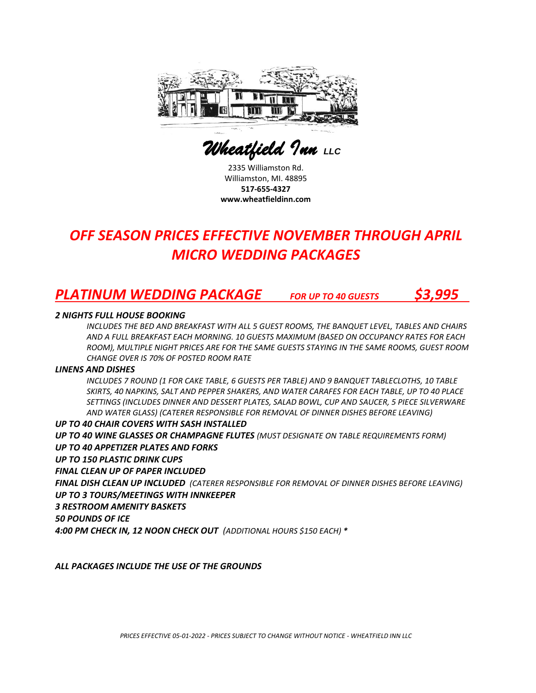

 *Wheatfield Inn LLC* 

2335 Williamston Rd. Williamston, MI. 48895 **517-655-4327 www.wheatfieldinn.com**

## *OFF SEASON PRICES EFFECTIVE NOVEMBER THROUGH APRIL MICRO WEDDING PACKAGES*

### *PLATINUM WEDDING PACKAGE FOR UP TO 40 GUESTS \$3,995*

### *2 NIGHTS FULL HOUSE BOOKING*

*INCLUDES THE BED AND BREAKFAST WITH ALL 5 GUEST ROOMS, THE BANQUET LEVEL, TABLES AND CHAIRS AND A FULL BREAKFAST EACH MORNING. 10 GUESTS MAXIMUM (BASED ON OCCUPANCY RATES FOR EACH ROOM), MULTIPLE NIGHT PRICES ARE FOR THE SAME GUESTS STAYING IN THE SAME ROOMS, GUEST ROOM CHANGE OVER IS 70% OF POSTED ROOM RATE* 

#### *LINENS AND DISHES*

*INCLUDES 7 ROUND (1 FOR CAKE TABLE, 6 GUESTS PER TABLE) AND 9 BANQUET TABLECLOTHS, 10 TABLE SKIRTS, 40 NAPKINS, SALT AND PEPPER SHAKERS, AND WATER CARAFES FOR EACH TABLE, UP TO 40 PLACE SETTINGS (INCLUDES DINNER AND DESSERT PLATES, SALAD BOWL, CUP AND SAUCER, 5 PIECE SILVERWARE AND WATER GLASS) (CATERER RESPONSIBLE FOR REMOVAL OF DINNER DISHES BEFORE LEAVING)*

*UP TO 40 CHAIR COVERS WITH SASH INSTALLED UP TO 40 WINE GLASSES OR CHAMPAGNE FLUTES (MUST DESIGNATE ON TABLE REQUIREMENTS FORM) UP TO 40 APPETIZER PLATES AND FORKS UP TO 150 PLASTIC DRINK CUPS FINAL CLEAN UP OF PAPER INCLUDED FINAL DISH CLEAN UP INCLUDED (CATERER RESPONSIBLE FOR REMOVAL OF DINNER DISHES BEFORE LEAVING) UP TO 3 TOURS/MEETINGS WITH INNKEEPER 3 RESTROOM AMENITY BASKETS 50 POUNDS OF ICE 4:00 PM CHECK IN, 12 NOON CHECK OUT (ADDITIONAL HOURS \$150 EACH) \**

*ALL PACKAGES INCLUDE THE USE OF THE GROUNDS*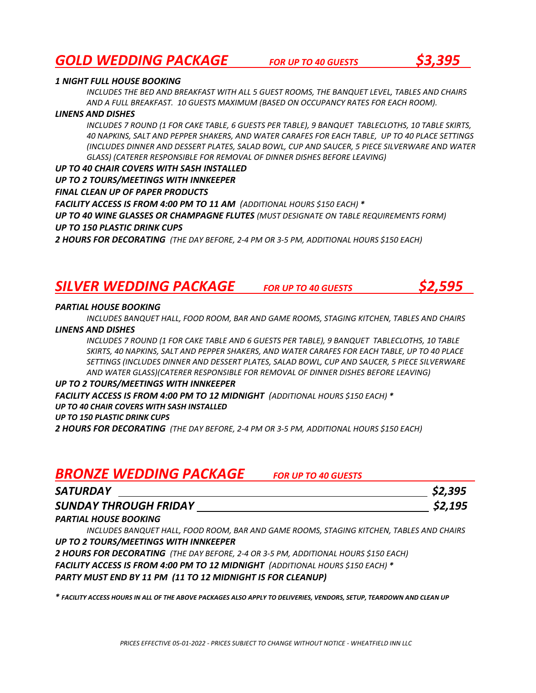### *GOLD WEDDING PACKAGE FOR UP TO 40 GUESTS \$3,395*

### *1 NIGHT FULL HOUSE BOOKING*

*INCLUDES THE BED AND BREAKFAST WITH ALL 5 GUEST ROOMS, THE BANQUET LEVEL, TABLES AND CHAIRS AND A FULL BREAKFAST. 10 GUESTS MAXIMUM (BASED ON OCCUPANCY RATES FOR EACH ROOM).*

#### *LINENS AND DISHES*

*INCLUDES 7 ROUND (1 FOR CAKE TABLE, 6 GUESTS PER TABLE), 9 BANQUET TABLECLOTHS, 10 TABLE SKIRTS, 40 NAPKINS, SALT AND PEPPER SHAKERS, AND WATER CARAFES FOR EACH TABLE, UP TO 40 PLACE SETTINGS (INCLUDES DINNER AND DESSERT PLATES, SALAD BOWL, CUP AND SAUCER, 5 PIECE SILVERWARE AND WATER GLASS) (CATERER RESPONSIBLE FOR REMOVAL OF DINNER DISHES BEFORE LEAVING)*

#### *UP TO 40 CHAIR COVERS WITH SASH INSTALLED*

*UP TO 2 TOURS/MEETINGS WITH INNKEEPER*

### *FINAL CLEAN UP OF PAPER PRODUCTS*

*FACILITY ACCESS IS FROM 4:00 PM TO 11 AM (ADDITIONAL HOURS \$150 EACH) \**

*UP TO 40 WINE GLASSES OR CHAMPAGNE FLUTES (MUST DESIGNATE ON TABLE REQUIREMENTS FORM) UP TO 150 PLASTIC DRINK CUPS* 

*2 HOURS FOR DECORATING (THE DAY BEFORE, 2-4 PM OR 3-5 PM, ADDITIONAL HOURS \$150 EACH)*

### *SILVER WEDDING PACKAGE FOR UP TO 40 GUESTS \$2,595*



### *PARTIAL HOUSE BOOKING*

*INCLUDES BANQUET HALL, FOOD ROOM, BAR AND GAME ROOMS, STAGING KITCHEN, TABLES AND CHAIRS*

### *LINENS AND DISHES*

*INCLUDES 7 ROUND (1 FOR CAKE TABLE AND 6 GUESTS PER TABLE), 9 BANQUET TABLECLOTHS, 10 TABLE SKIRTS, 40 NAPKINS, SALT AND PEPPER SHAKERS, AND WATER CARAFES FOR EACH TABLE, UP TO 40 PLACE SETTINGS (INCLUDES DINNER AND DESSERT PLATES, SALAD BOWL, CUP AND SAUCER, 5 PIECE SILVERWARE AND WATER GLASS)(CATERER RESPONSIBLE FOR REMOVAL OF DINNER DISHES BEFORE LEAVING)*

### *UP TO 2 TOURS/MEETINGS WITH INNKEEPER*

*FACILITY ACCESS IS FROM 4:00 PM TO 12 MIDNIGHT (ADDITIONAL HOURS \$150 EACH) \* UP TO 40 CHAIR COVERS WITH SASH INSTALLED*

#### *UP TO 150 PLASTIC DRINK CUPS*

*2 HOURS FOR DECORATING (THE DAY BEFORE, 2-4 PM OR 3-5 PM, ADDITIONAL HOURS \$150 EACH)*

### *BRONZE WEDDING PACKAGE FOR UP TO 40 GUESTS*

| <b>SATURDAY</b>              | \$2,395 |
|------------------------------|---------|
| <b>SUNDAY THROUGH FRIDAY</b> | \$2,195 |

### *PARTIAL HOUSE BOOKING*

*INCLUDES BANQUET HALL, FOOD ROOM, BAR AND GAME ROOMS, STAGING KITCHEN, TABLES AND CHAIRS UP TO 2 TOURS/MEETINGS WITH INNKEEPER*

*2 HOURS FOR DECORATING (THE DAY BEFORE, 2-4 OR 3-5 PM, ADDITIONAL HOURS \$150 EACH) FACILITY ACCESS IS FROM 4:00 PM TO 12 MIDNIGHT (ADDITIONAL HOURS \$150 EACH) \* PARTY MUST END BY 11 PM (11 TO 12 MIDNIGHT IS FOR CLEANUP)*

*\* FACILITY ACCESS HOURS IN ALL OF THE ABOVE PACKAGES ALSO APPLY TO DELIVERIES, VENDORS, SETUP, TEARDOWN AND CLEAN UP*